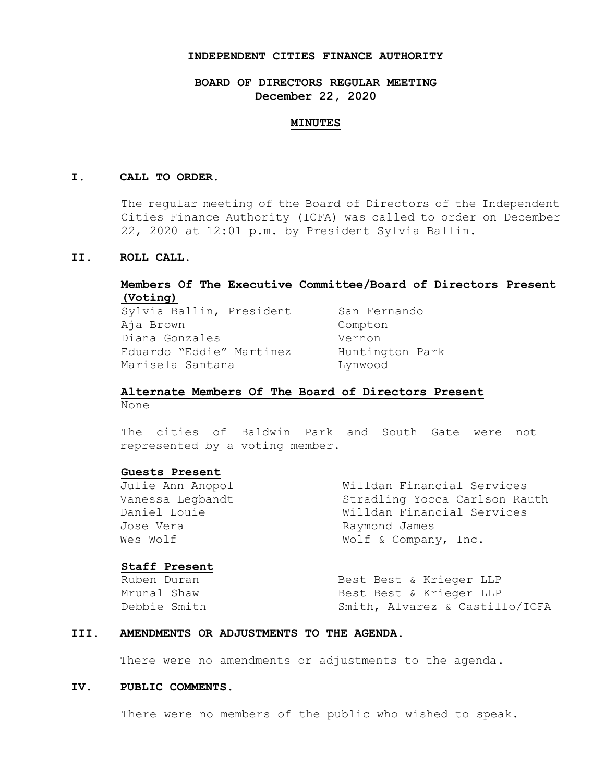## **INDEPENDENT CITIES FINANCE AUTHORITY**

## **BOARD OF DIRECTORS REGULAR MEETING December 22, 2020**

#### **MINUTES**

## **I. CALL TO ORDER.**

The regular meeting of the Board of Directors of the Independent Cities Finance Authority (ICFA) was called to order on December 22, 2020 at 12:01 p.m. by President Sylvia Ballin.

## **II. ROLL CALL.**

## **Members Of The Executive Committee/Board of Directors Present (Voting)**

Sylvia Ballin, President San Fernando Aja Brown Compton Diana Gonzales Vernon Eduardo "Eddie" Martinez Huntington Park Marisela Santana **Lynwood** 

## **Alternate Members Of The Board of Directors Present** None

The cities of Baldwin Park and South Gate were not represented by a voting member.

#### **Guests Present**

Julie Ann Anopol Willdan Financial Services Vanessa Legbandt Stradling Yocca Carlson Rauth Daniel Louie Willdan Financial Services Jose Vera **Raymond James** Wes Wolf  $W$  Wolf & Company, Inc.

### **Staff Present**

Ruben Duran Best Best & Krieger LLP Mrunal Shaw **Best Best & Krieger LLP** Debbie Smith Smith, Alvarez & Castillo/ICFA

#### **III. AMENDMENTS OR ADJUSTMENTS TO THE AGENDA.**

There were no amendments or adjustments to the agenda.

## **IV. PUBLIC COMMENTS.**

There were no members of the public who wished to speak.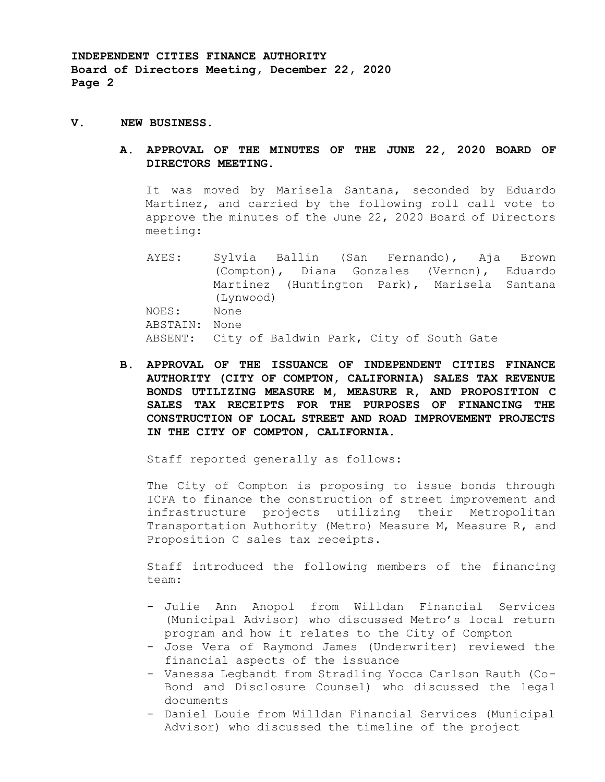## **V. NEW BUSINESS.**

## **A. APPROVAL OF THE MINUTES OF THE JUNE 22, 2020 BOARD OF DIRECTORS MEETING.**

It was moved by Marisela Santana, seconded by Eduardo Martinez, and carried by the following roll call vote to approve the minutes of the June 22, 2020 Board of Directors meeting:

AYES: Sylvia Ballin (San Fernando), Aja Brown (Compton), Diana Gonzales (Vernon), Eduardo Martinez (Huntington Park), Marisela Santana (Lynwood) NOES: None ABSTAIN: None ABSENT: City of Baldwin Park, City of South Gate

**B. APPROVAL OF THE ISSUANCE OF INDEPENDENT CITIES FINANCE AUTHORITY (CITY OF COMPTON, CALIFORNIA) SALES TAX REVENUE BONDS UTILIZING MEASURE M, MEASURE R, AND PROPOSITION C SALES TAX RECEIPTS FOR THE PURPOSES OF FINANCING THE CONSTRUCTION OF LOCAL STREET AND ROAD IMPROVEMENT PROJECTS IN THE CITY OF COMPTON, CALIFORNIA.**

Staff reported generally as follows:

The City of Compton is proposing to issue bonds through ICFA to finance the construction of street improvement and infrastructure projects utilizing their Metropolitan Transportation Authority (Metro) Measure M, Measure R, and Proposition C sales tax receipts.

Staff introduced the following members of the financing team:

- Julie Ann Anopol from Willdan Financial Services (Municipal Advisor) who discussed Metro's local return program and how it relates to the City of Compton
- Jose Vera of Raymond James (Underwriter) reviewed the financial aspects of the issuance
- Vanessa Legbandt from Stradling Yocca Carlson Rauth (Co-Bond and Disclosure Counsel) who discussed the legal documents
- Daniel Louie from Willdan Financial Services (Municipal Advisor) who discussed the timeline of the project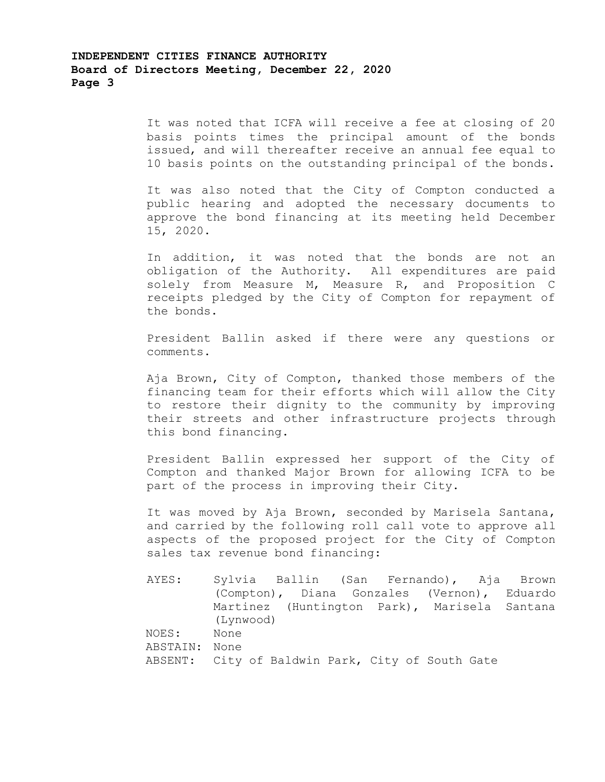It was noted that ICFA will receive a fee at closing of 20 basis points times the principal amount of the bonds issued, and will thereafter receive an annual fee equal to 10 basis points on the outstanding principal of the bonds.

It was also noted that the City of Compton conducted a public hearing and adopted the necessary documents to approve the bond financing at its meeting held December 15, 2020.

In addition, it was noted that the bonds are not an obligation of the Authority. All expenditures are paid solely from Measure M, Measure R, and Proposition C receipts pledged by the City of Compton for repayment of the bonds.

President Ballin asked if there were any questions or comments.

Aja Brown, City of Compton, thanked those members of the financing team for their efforts which will allow the City to restore their dignity to the community by improving their streets and other infrastructure projects through this bond financing.

President Ballin expressed her support of the City of Compton and thanked Major Brown for allowing ICFA to be part of the process in improving their City.

It was moved by Aja Brown, seconded by Marisela Santana, and carried by the following roll call vote to approve all aspects of the proposed project for the City of Compton sales tax revenue bond financing:

AYES: Sylvia Ballin (San Fernando), Aja Brown (Compton), Diana Gonzales (Vernon), Eduardo Martinez (Huntington Park), Marisela Santana (Lynwood) NOES: None ABSTAIN: None ABSENT: City of Baldwin Park, City of South Gate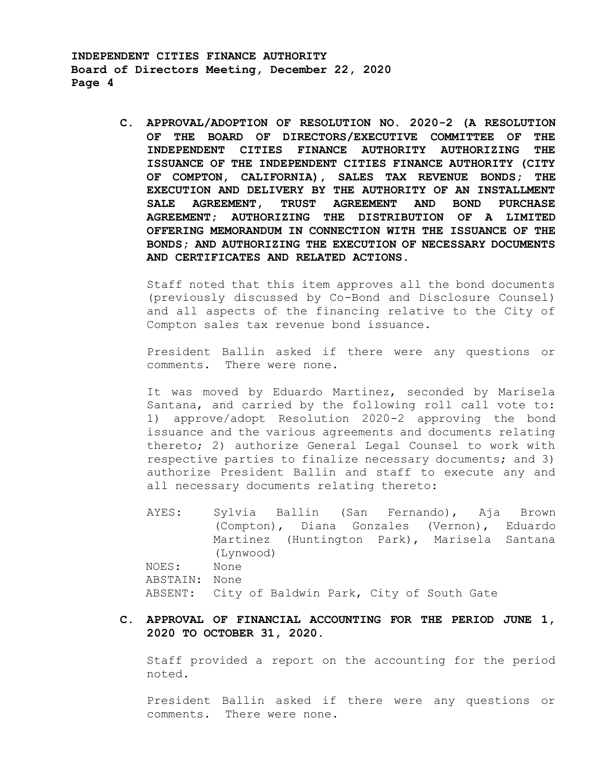> **C. APPROVAL/ADOPTION OF RESOLUTION NO. 2020-2 (A RESOLUTION OF THE BOARD OF DIRECTORS/EXECUTIVE COMMITTEE OF THE INDEPENDENT CITIES FINANCE AUTHORITY AUTHORIZING THE ISSUANCE OF THE INDEPENDENT CITIES FINANCE AUTHORITY (CITY OF COMPTON, CALIFORNIA), SALES TAX REVENUE BONDS; THE EXECUTION AND DELIVERY BY THE AUTHORITY OF AN INSTALLMENT SALE AGREEMENT, TRUST AGREEMENT AND BOND PURCHASE AGREEMENT; AUTHORIZING THE DISTRIBUTION OF A LIMITED OFFERING MEMORANDUM IN CONNECTION WITH THE ISSUANCE OF THE BONDS; AND AUTHORIZING THE EXECUTION OF NECESSARY DOCUMENTS AND CERTIFICATES AND RELATED ACTIONS.**

Staff noted that this item approves all the bond documents (previously discussed by Co-Bond and Disclosure Counsel) and all aspects of the financing relative to the City of Compton sales tax revenue bond issuance.

President Ballin asked if there were any questions or comments. There were none.

It was moved by Eduardo Martinez, seconded by Marisela Santana, and carried by the following roll call vote to: 1) approve/adopt Resolution 2020-2 approving the bond issuance and the various agreements and documents relating thereto; 2) authorize General Legal Counsel to work with respective parties to finalize necessary documents; and 3) authorize President Ballin and staff to execute any and all necessary documents relating thereto:

AYES: Sylvia Ballin (San Fernando), Aja Brown (Compton), Diana Gonzales (Vernon), Eduardo Martinez (Huntington Park), Marisela Santana (Lynwood) NOES: None ABSTAIN: None ABSENT: City of Baldwin Park, City of South Gate

## **C. APPROVAL OF FINANCIAL ACCOUNTING FOR THE PERIOD JUNE 1, 2020 TO OCTOBER 31, 2020.**

Staff provided a report on the accounting for the period noted.

President Ballin asked if there were any questions or comments. There were none.